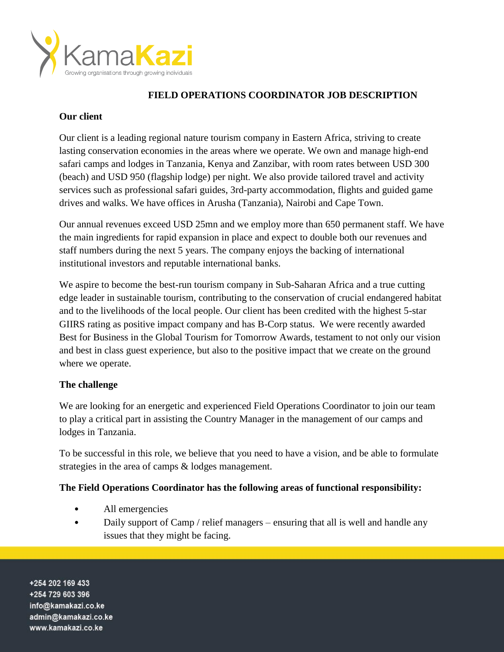

# **FIELD OPERATIONS COORDINATOR JOB DESCRIPTION**

## **Our client**

Our client is a leading regional nature tourism company in Eastern Africa, striving to create lasting conservation economies in the areas where we operate. We own and manage high-end safari camps and lodges in Tanzania, Kenya and Zanzibar, with room rates between USD 300 (beach) and USD 950 (flagship lodge) per night. We also provide tailored travel and activity services such as professional safari guides, 3rd-party accommodation, flights and guided game drives and walks. We have offices in Arusha (Tanzania), Nairobi and Cape Town.

Our annual revenues exceed USD 25mn and we employ more than 650 permanent staff. We have the main ingredients for rapid expansion in place and expect to double both our revenues and staff numbers during the next 5 years. The company enjoys the backing of international institutional investors and reputable international banks.

We aspire to become the best-run tourism company in Sub-Saharan Africa and a true cutting edge leader in sustainable tourism, contributing to the conservation of crucial endangered habitat and to the livelihoods of the local people. Our client has been credited with the highest 5-star GIIRS rating as positive impact company and has B-Corp status. We were recently awarded Best for Business in the Global Tourism for Tomorrow Awards, testament to not only our vision and best in class guest experience, but also to the positive impact that we create on the ground where we operate.

## **The challenge**

We are looking for an energetic and experienced Field Operations Coordinator to join our team to play a critical part in assisting the Country Manager in the management of our camps and lodges in Tanzania.

To be successful in this role, we believe that you need to have a vision, and be able to formulate strategies in the area of camps & lodges management.

## **The Field Operations Coordinator has the following areas of functional responsibility:**

- All emergencies
- Daily support of Camp / relief managers ensuring that all is well and handle any issues that they might be facing.

+254 202 169 433 +254 729 603 396 info@kamakazi.co.ke admin@kamakazi.co.ke www.kamakazi.co.ke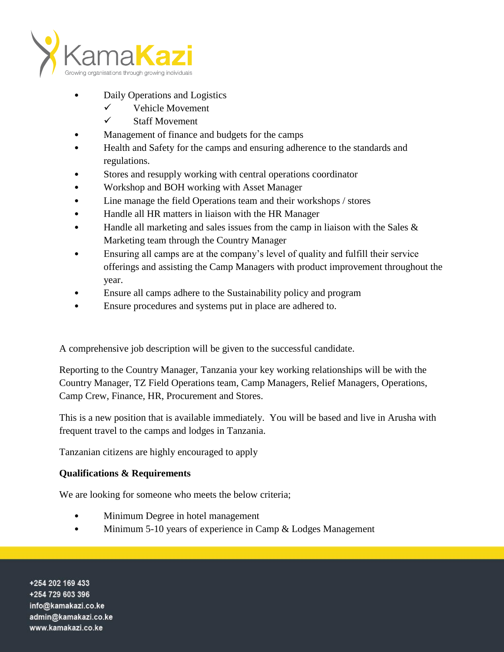

- Daily Operations and Logistics
	- $\checkmark$  Vehicle Movement
	- $\checkmark$  Staff Movement
- Management of finance and budgets for the camps
- Health and Safety for the camps and ensuring adherence to the standards and regulations.
- Stores and resupply working with central operations coordinator
- Workshop and BOH working with Asset Manager
- Line manage the field Operations team and their workshops / stores
- Handle all HR matters in liaison with the HR Manager
- Handle all marketing and sales issues from the camp in liaison with the Sales  $\&$ Marketing team through the Country Manager
- Ensuring all camps are at the company's level of quality and fulfill their service offerings and assisting the Camp Managers with product improvement throughout the year.
- Ensure all camps adhere to the Sustainability policy and program
- Ensure procedures and systems put in place are adhered to.

A comprehensive job description will be given to the successful candidate.

Reporting to the Country Manager, Tanzania your key working relationships will be with the Country Manager, TZ Field Operations team, Camp Managers, Relief Managers, Operations, Camp Crew, Finance, HR, Procurement and Stores.

This is a new position that is available immediately. You will be based and live in Arusha with frequent travel to the camps and lodges in Tanzania.

Tanzanian citizens are highly encouraged to apply

## **Qualifications & Requirements**

We are looking for someone who meets the below criteria;

- Minimum Degree in hotel management
- Minimum 5-10 years of experience in Camp & Lodges Management

+254 202 169 433 +254 729 603 396 info@kamakazi.co.ke admin@kamakazi.co.ke www.kamakazi.co.ke